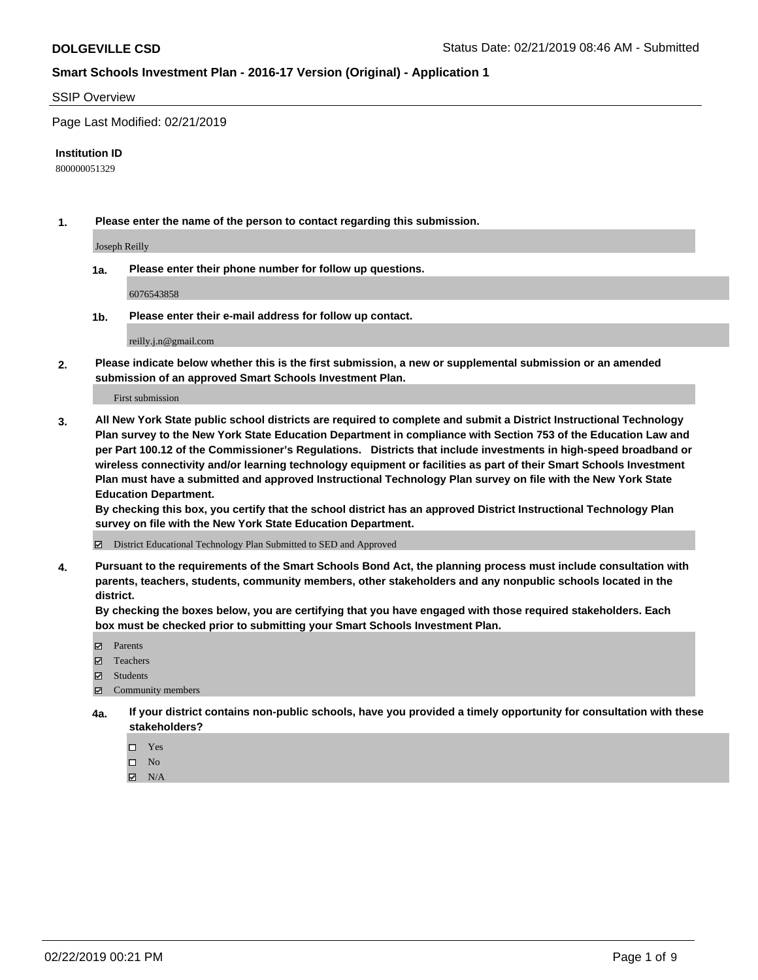#### SSIP Overview

Page Last Modified: 02/21/2019

#### **Institution ID**

800000051329

**1. Please enter the name of the person to contact regarding this submission.**

Joseph Reilly

**1a. Please enter their phone number for follow up questions.**

6076543858

**1b. Please enter their e-mail address for follow up contact.**

reilly.j.n@gmail.com

**2. Please indicate below whether this is the first submission, a new or supplemental submission or an amended submission of an approved Smart Schools Investment Plan.**

First submission

**3. All New York State public school districts are required to complete and submit a District Instructional Technology Plan survey to the New York State Education Department in compliance with Section 753 of the Education Law and per Part 100.12 of the Commissioner's Regulations. Districts that include investments in high-speed broadband or wireless connectivity and/or learning technology equipment or facilities as part of their Smart Schools Investment Plan must have a submitted and approved Instructional Technology Plan survey on file with the New York State Education Department.** 

**By checking this box, you certify that the school district has an approved District Instructional Technology Plan survey on file with the New York State Education Department.**

District Educational Technology Plan Submitted to SED and Approved

**4. Pursuant to the requirements of the Smart Schools Bond Act, the planning process must include consultation with parents, teachers, students, community members, other stakeholders and any nonpublic schools located in the district.** 

**By checking the boxes below, you are certifying that you have engaged with those required stakeholders. Each box must be checked prior to submitting your Smart Schools Investment Plan.**

- **□** Parents
- Teachers
- Students
- $\boxtimes$  Community members
- **4a. If your district contains non-public schools, have you provided a timely opportunity for consultation with these stakeholders?**
	- $\Box$  Yes
	- $\qquad \qquad$  No
	- $\blacksquare$  N/A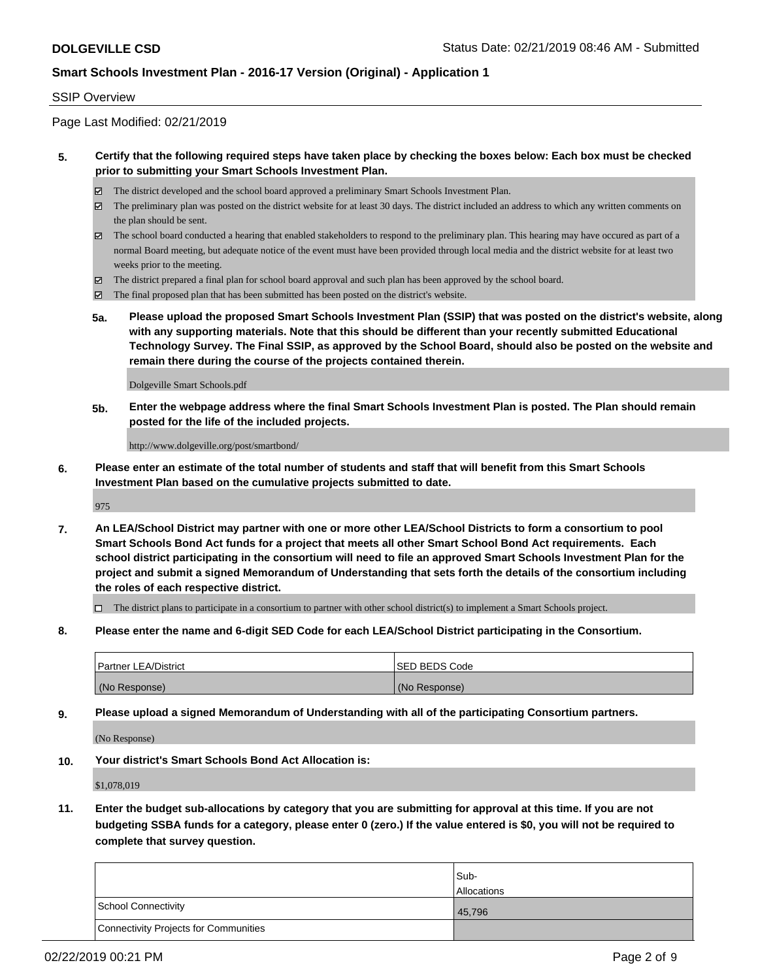#### SSIP Overview

Page Last Modified: 02/21/2019

### **5. Certify that the following required steps have taken place by checking the boxes below: Each box must be checked prior to submitting your Smart Schools Investment Plan.**

- The district developed and the school board approved a preliminary Smart Schools Investment Plan.
- $\boxtimes$  The preliminary plan was posted on the district website for at least 30 days. The district included an address to which any written comments on the plan should be sent.
- $\boxtimes$  The school board conducted a hearing that enabled stakeholders to respond to the preliminary plan. This hearing may have occured as part of a normal Board meeting, but adequate notice of the event must have been provided through local media and the district website for at least two weeks prior to the meeting.
- The district prepared a final plan for school board approval and such plan has been approved by the school board.
- $\boxtimes$  The final proposed plan that has been submitted has been posted on the district's website.
- **5a. Please upload the proposed Smart Schools Investment Plan (SSIP) that was posted on the district's website, along with any supporting materials. Note that this should be different than your recently submitted Educational Technology Survey. The Final SSIP, as approved by the School Board, should also be posted on the website and remain there during the course of the projects contained therein.**

Dolgeville Smart Schools.pdf

**5b. Enter the webpage address where the final Smart Schools Investment Plan is posted. The Plan should remain posted for the life of the included projects.**

http://www.dolgeville.org/post/smartbond/

**6. Please enter an estimate of the total number of students and staff that will benefit from this Smart Schools Investment Plan based on the cumulative projects submitted to date.**

975

**7. An LEA/School District may partner with one or more other LEA/School Districts to form a consortium to pool Smart Schools Bond Act funds for a project that meets all other Smart School Bond Act requirements. Each school district participating in the consortium will need to file an approved Smart Schools Investment Plan for the project and submit a signed Memorandum of Understanding that sets forth the details of the consortium including the roles of each respective district.**

 $\Box$  The district plans to participate in a consortium to partner with other school district(s) to implement a Smart Schools project.

**8. Please enter the name and 6-digit SED Code for each LEA/School District participating in the Consortium.**

| <b>Partner LEA/District</b> | <b>ISED BEDS Code</b> |
|-----------------------------|-----------------------|
| (No Response)               | (No Response)         |

**9. Please upload a signed Memorandum of Understanding with all of the participating Consortium partners.**

(No Response)

**10. Your district's Smart Schools Bond Act Allocation is:**

\$1,078,019

**11. Enter the budget sub-allocations by category that you are submitting for approval at this time. If you are not budgeting SSBA funds for a category, please enter 0 (zero.) If the value entered is \$0, you will not be required to complete that survey question.**

|                                              | Sub-               |
|----------------------------------------------|--------------------|
|                                              | <b>Allocations</b> |
| <b>School Connectivity</b>                   | 45,796             |
| <b>Connectivity Projects for Communities</b> |                    |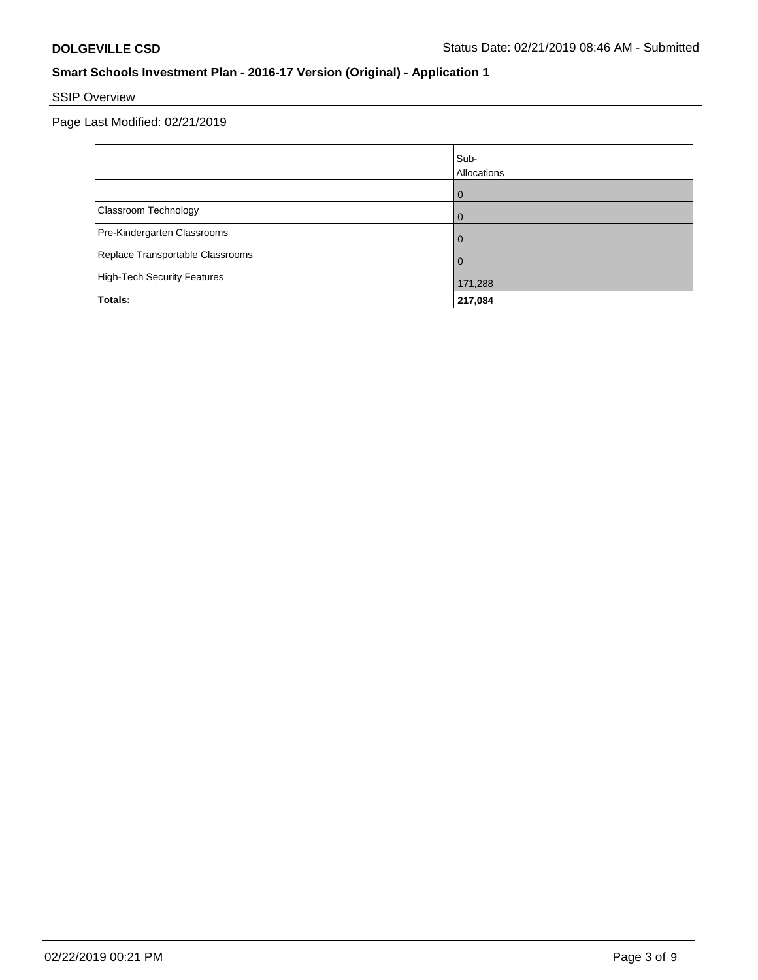# SSIP Overview

Page Last Modified: 02/21/2019

|                                    | Sub-<br>Allocations |
|------------------------------------|---------------------|
|                                    |                     |
| Classroom Technology               |                     |
| Pre-Kindergarten Classrooms        |                     |
| Replace Transportable Classrooms   |                     |
| <b>High-Tech Security Features</b> | 171,288             |
| Totals:                            | 217,084             |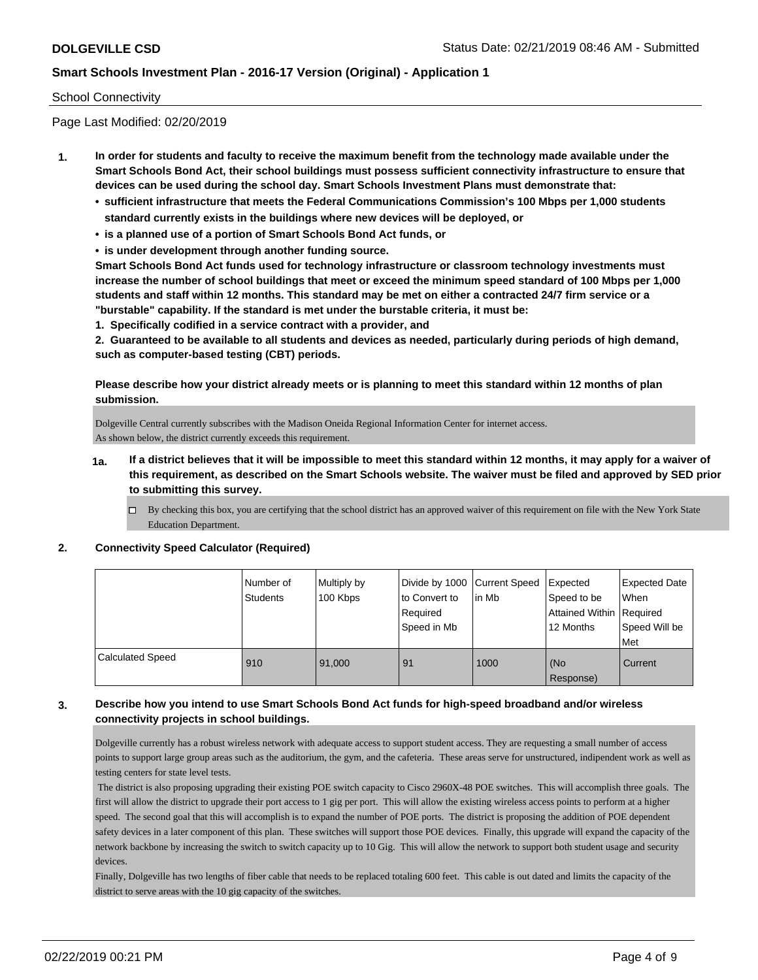#### School Connectivity

Page Last Modified: 02/20/2019

- **1. In order for students and faculty to receive the maximum benefit from the technology made available under the Smart Schools Bond Act, their school buildings must possess sufficient connectivity infrastructure to ensure that devices can be used during the school day. Smart Schools Investment Plans must demonstrate that:**
	- **• sufficient infrastructure that meets the Federal Communications Commission's 100 Mbps per 1,000 students standard currently exists in the buildings where new devices will be deployed, or**
	- **• is a planned use of a portion of Smart Schools Bond Act funds, or**
	- **• is under development through another funding source.**

**Smart Schools Bond Act funds used for technology infrastructure or classroom technology investments must increase the number of school buildings that meet or exceed the minimum speed standard of 100 Mbps per 1,000 students and staff within 12 months. This standard may be met on either a contracted 24/7 firm service or a "burstable" capability. If the standard is met under the burstable criteria, it must be:**

**1. Specifically codified in a service contract with a provider, and**

**2. Guaranteed to be available to all students and devices as needed, particularly during periods of high demand, such as computer-based testing (CBT) periods.**

**Please describe how your district already meets or is planning to meet this standard within 12 months of plan submission.**

Dolgeville Central currently subscribes with the Madison Oneida Regional Information Center for internet access. As shown below, the district currently exceeds this requirement.

- **1a. If a district believes that it will be impossible to meet this standard within 12 months, it may apply for a waiver of this requirement, as described on the Smart Schools website. The waiver must be filed and approved by SED prior to submitting this survey.**
	- By checking this box, you are certifying that the school district has an approved waiver of this requirement on file with the New York State Education Department.

#### **2. Connectivity Speed Calculator (Required)**

|                         | Number of<br><b>Students</b> | Multiply by<br>100 Kbps | Divide by 1000   Current Speed<br>to Convert to<br>Required<br>Speed in Mb | lin Mb | Expected<br>Speed to be<br>Attained Within   Required<br>12 Months | <b>Expected Date</b><br>When<br>Speed Will be<br><b>Met</b> |
|-------------------------|------------------------------|-------------------------|----------------------------------------------------------------------------|--------|--------------------------------------------------------------------|-------------------------------------------------------------|
| <b>Calculated Speed</b> | 910                          | 91,000                  | 91                                                                         | 1000   | l (No<br>Response)                                                 | Current                                                     |

### **3. Describe how you intend to use Smart Schools Bond Act funds for high-speed broadband and/or wireless connectivity projects in school buildings.**

Dolgeville currently has a robust wireless network with adequate access to support student access. They are requesting a small number of access points to support large group areas such as the auditorium, the gym, and the cafeteria. These areas serve for unstructured, indipendent work as well as testing centers for state level tests.

 The district is also proposing upgrading their existing POE switch capacity to Cisco 2960X-48 POE switches. This will accomplish three goals. The first will allow the district to upgrade their port access to 1 gig per port. This will allow the existing wireless access points to perform at a higher speed. The second goal that this will accomplish is to expand the number of POE ports. The district is proposing the addition of POE dependent safety devices in a later component of this plan. These switches will support those POE devices. Finally, this upgrade will expand the capacity of the network backbone by increasing the switch to switch capacity up to 10 Gig. This will allow the network to support both student usage and security devices.

Finally, Dolgeville has two lengths of fiber cable that needs to be replaced totaling 600 feet. This cable is out dated and limits the capacity of the district to serve areas with the 10 gig capacity of the switches.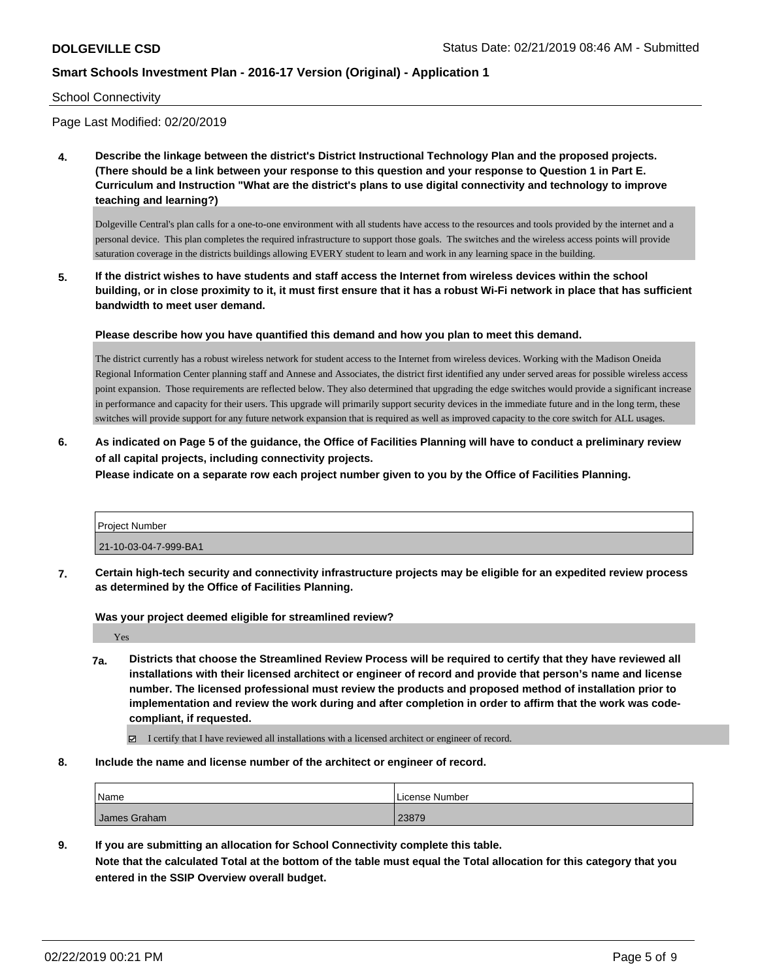#### School Connectivity

Page Last Modified: 02/20/2019

**4. Describe the linkage between the district's District Instructional Technology Plan and the proposed projects. (There should be a link between your response to this question and your response to Question 1 in Part E. Curriculum and Instruction "What are the district's plans to use digital connectivity and technology to improve teaching and learning?)**

Dolgeville Central's plan calls for a one-to-one environment with all students have access to the resources and tools provided by the internet and a personal device. This plan completes the required infrastructure to support those goals. The switches and the wireless access points will provide saturation coverage in the districts buildings allowing EVERY student to learn and work in any learning space in the building.

**5. If the district wishes to have students and staff access the Internet from wireless devices within the school building, or in close proximity to it, it must first ensure that it has a robust Wi-Fi network in place that has sufficient bandwidth to meet user demand.**

**Please describe how you have quantified this demand and how you plan to meet this demand.**

The district currently has a robust wireless network for student access to the Internet from wireless devices. Working with the Madison Oneida Regional Information Center planning staff and Annese and Associates, the district first identified any under served areas for possible wireless access point expansion. Those requirements are reflected below. They also determined that upgrading the edge switches would provide a significant increase in performance and capacity for their users. This upgrade will primarily support security devices in the immediate future and in the long term, these switches will provide support for any future network expansion that is required as well as improved capacity to the core switch for ALL usages.

**6. As indicated on Page 5 of the guidance, the Office of Facilities Planning will have to conduct a preliminary review of all capital projects, including connectivity projects.**

**Please indicate on a separate row each project number given to you by the Office of Facilities Planning.**

| Project Number        |  |
|-----------------------|--|
| 21-10-03-04-7-999-BA1 |  |

**7. Certain high-tech security and connectivity infrastructure projects may be eligible for an expedited review process as determined by the Office of Facilities Planning.**

**Was your project deemed eligible for streamlined review?**

Yes

- **7a. Districts that choose the Streamlined Review Process will be required to certify that they have reviewed all installations with their licensed architect or engineer of record and provide that person's name and license number. The licensed professional must review the products and proposed method of installation prior to implementation and review the work during and after completion in order to affirm that the work was codecompliant, if requested.**
	- I certify that I have reviewed all installations with a licensed architect or engineer of record.
- **8. Include the name and license number of the architect or engineer of record.**

| 'Name        | License Number |
|--------------|----------------|
| James Graham | 23879          |

**9. If you are submitting an allocation for School Connectivity complete this table. Note that the calculated Total at the bottom of the table must equal the Total allocation for this category that you entered in the SSIP Overview overall budget.**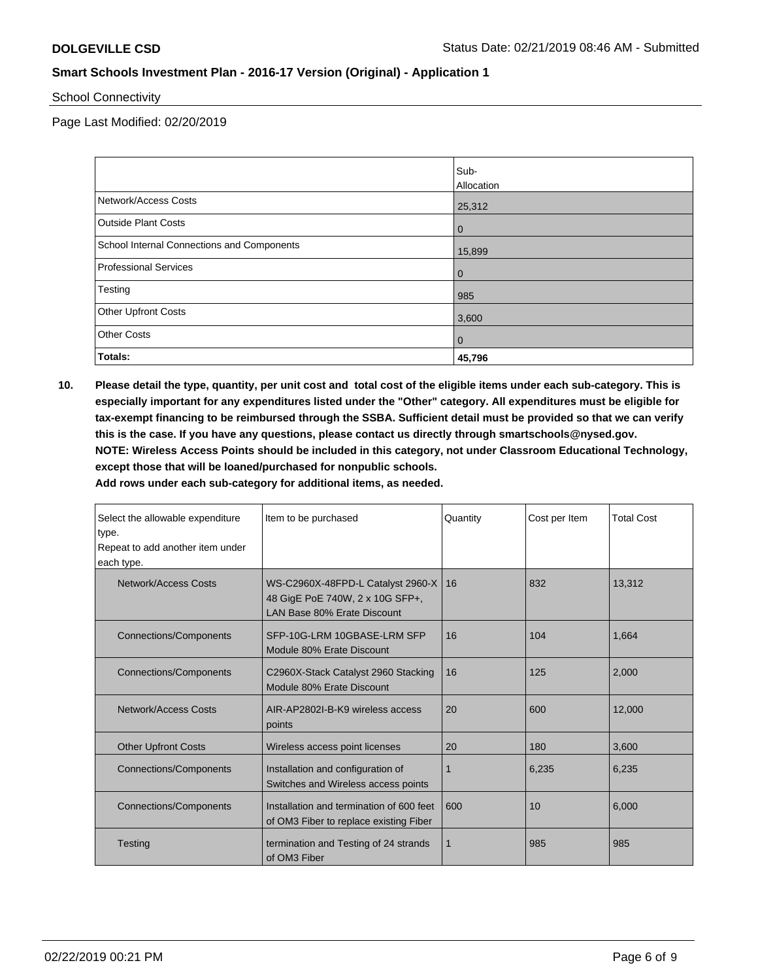School Connectivity

Page Last Modified: 02/20/2019

|                                            | Sub-<br>Allocation |
|--------------------------------------------|--------------------|
| Network/Access Costs                       | 25,312             |
| <b>Outside Plant Costs</b>                 | $\mathbf 0$        |
| School Internal Connections and Components | 15,899             |
| <b>Professional Services</b>               | $\mathbf{0}$       |
| Testing                                    | 985                |
| <b>Other Upfront Costs</b>                 | 3,600              |
| <b>Other Costs</b>                         | $\overline{0}$     |
| Totals:                                    | 45,796             |

**10. Please detail the type, quantity, per unit cost and total cost of the eligible items under each sub-category. This is especially important for any expenditures listed under the "Other" category. All expenditures must be eligible for tax-exempt financing to be reimbursed through the SSBA. Sufficient detail must be provided so that we can verify this is the case. If you have any questions, please contact us directly through smartschools@nysed.gov. NOTE: Wireless Access Points should be included in this category, not under Classroom Educational Technology, except those that will be loaned/purchased for nonpublic schools.**

**Add rows under each sub-category for additional items, as needed.**

| Select the allowable expenditure<br>type.<br>Repeat to add another item under<br>each type. | Item to be purchased                                                                                | Quantity     | Cost per Item | <b>Total Cost</b> |
|---------------------------------------------------------------------------------------------|-----------------------------------------------------------------------------------------------------|--------------|---------------|-------------------|
| Network/Access Costs                                                                        | WS-C2960X-48FPD-L Catalyst 2960-X<br>48 GigE PoE 740W, 2 x 10G SFP+,<br>LAN Base 80% Erate Discount | 16           | 832           | 13.312            |
| <b>Connections/Components</b>                                                               | SFP-10G-LRM 10GBASE-LRM SFP<br>Module 80% Erate Discount                                            | 16           | 104           | 1.664             |
| <b>Connections/Components</b>                                                               | C2960X-Stack Catalyst 2960 Stacking<br>Module 80% Erate Discount                                    | 16           | 125           | 2,000             |
| Network/Access Costs                                                                        | AIR-AP2802I-B-K9 wireless access<br>points                                                          | 20           | 600           | 12,000            |
| <b>Other Upfront Costs</b>                                                                  | Wireless access point licenses                                                                      | 20           | 180           | 3,600             |
| <b>Connections/Components</b>                                                               | Installation and configuration of<br>Switches and Wireless access points                            | 1            | 6.235         | 6,235             |
| <b>Connections/Components</b>                                                               | Installation and termination of 600 feet<br>of OM3 Fiber to replace existing Fiber                  | 600          | 10            | 6,000             |
| Testing                                                                                     | termination and Testing of 24 strands<br>of OM3 Fiber                                               | $\mathbf{1}$ | 985           | 985               |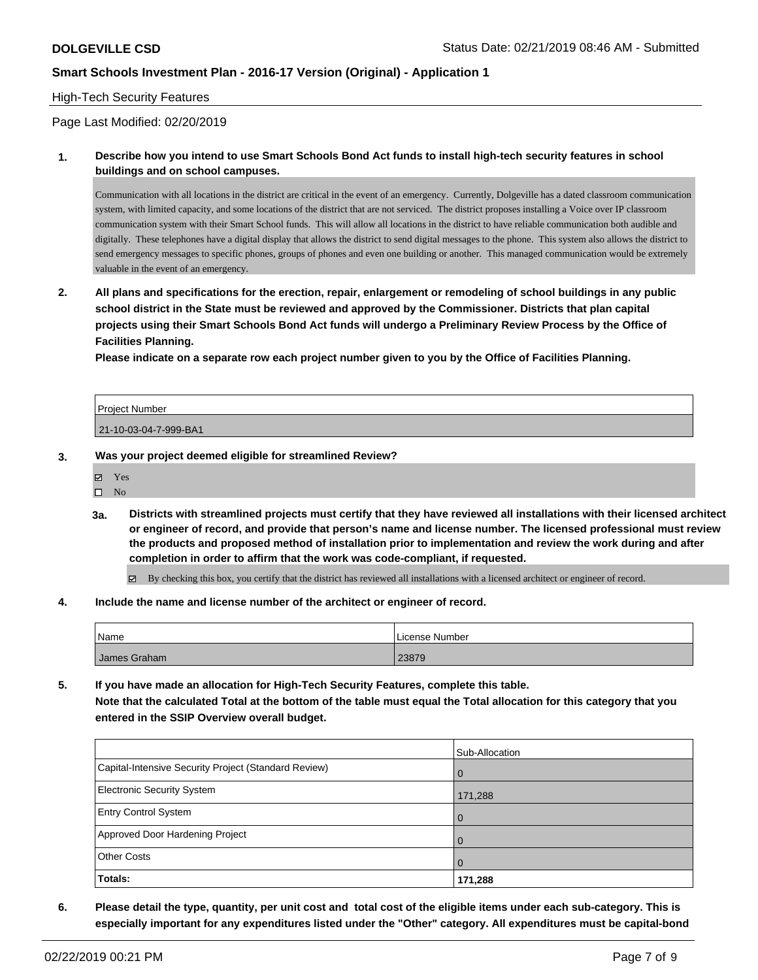#### High-Tech Security Features

Page Last Modified: 02/20/2019

**1. Describe how you intend to use Smart Schools Bond Act funds to install high-tech security features in school buildings and on school campuses.**

Communication with all locations in the district are critical in the event of an emergency. Currently, Dolgeville has a dated classroom communication system, with limited capacity, and some locations of the district that are not serviced. The district proposes installing a Voice over IP classroom communication system with their Smart School funds. This will allow all locations in the district to have reliable communication both audible and digitally. These telephones have a digital display that allows the district to send digital messages to the phone. This system also allows the district to send emergency messages to specific phones, groups of phones and even one building or another. This managed communication would be extremely valuable in the event of an emergency.

**2. All plans and specifications for the erection, repair, enlargement or remodeling of school buildings in any public school district in the State must be reviewed and approved by the Commissioner. Districts that plan capital projects using their Smart Schools Bond Act funds will undergo a Preliminary Review Process by the Office of Facilities Planning.** 

**Please indicate on a separate row each project number given to you by the Office of Facilities Planning.**

| <b>Project Number</b> |  |
|-----------------------|--|
| 21-10-03-04-7-999-BA1 |  |

**3. Was your project deemed eligible for streamlined Review?**

| ٨ | Yes  |  |
|---|------|--|
| п | - No |  |

**3a. Districts with streamlined projects must certify that they have reviewed all installations with their licensed architect or engineer of record, and provide that person's name and license number. The licensed professional must review the products and proposed method of installation prior to implementation and review the work during and after completion in order to affirm that the work was code-compliant, if requested.**

By checking this box, you certify that the district has reviewed all installations with a licensed architect or engineer of record.

**4. Include the name and license number of the architect or engineer of record.**

| Name         | License Number |
|--------------|----------------|
| James Graham | 23879          |

**5. If you have made an allocation for High-Tech Security Features, complete this table. Note that the calculated Total at the bottom of the table must equal the Total allocation for this category that you entered in the SSIP Overview overall budget.**

|                                                      | Sub-Allocation |
|------------------------------------------------------|----------------|
| Capital-Intensive Security Project (Standard Review) | $\overline{0}$ |
| <b>Electronic Security System</b>                    | 171,288        |
| <b>Entry Control System</b>                          | $\overline{0}$ |
| Approved Door Hardening Project                      | $\Omega$       |
| <b>Other Costs</b>                                   | $\Omega$       |
| Totals:                                              | 171,288        |

**6. Please detail the type, quantity, per unit cost and total cost of the eligible items under each sub-category. This is especially important for any expenditures listed under the "Other" category. All expenditures must be capital-bond**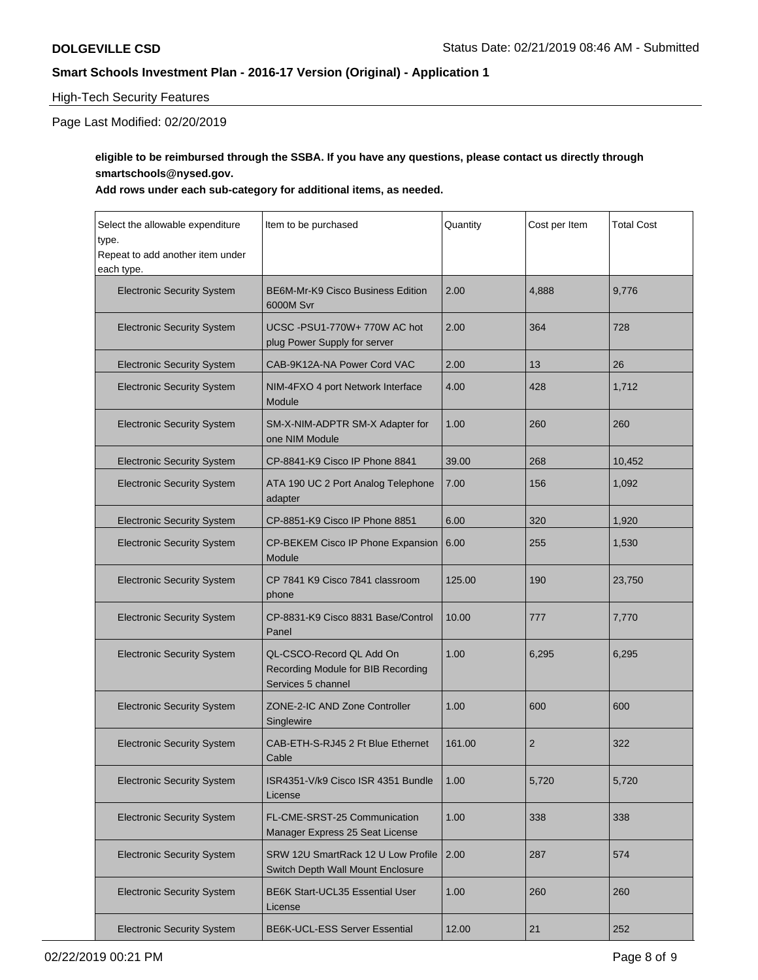### High-Tech Security Features

# Page Last Modified: 02/20/2019

# **eligible to be reimbursed through the SSBA. If you have any questions, please contact us directly through smartschools@nysed.gov.**

### **Add rows under each sub-category for additional items, as needed.**

| Select the allowable expenditure<br>type.<br>Repeat to add another item under<br>each type. | Item to be purchased                                                                 | Quantity | Cost per Item  | <b>Total Cost</b> |
|---------------------------------------------------------------------------------------------|--------------------------------------------------------------------------------------|----------|----------------|-------------------|
| <b>Electronic Security System</b>                                                           | <b>BE6M-Mr-K9 Cisco Business Edition</b><br>6000M Svr                                | 2.00     | 4,888          | 9.776             |
| <b>Electronic Security System</b>                                                           | UCSC-PSU1-770W+770W AC hot<br>plug Power Supply for server                           | 2.00     | 364            | 728               |
| <b>Electronic Security System</b>                                                           | CAB-9K12A-NA Power Cord VAC                                                          | 2.00     | 13             | 26                |
| <b>Electronic Security System</b>                                                           | NIM-4FXO 4 port Network Interface<br>Module                                          | 4.00     | 428            | 1,712             |
| <b>Electronic Security System</b>                                                           | SM-X-NIM-ADPTR SM-X Adapter for<br>one NIM Module                                    | 1.00     | 260            | 260               |
| <b>Electronic Security System</b>                                                           | CP-8841-K9 Cisco IP Phone 8841                                                       | 39.00    | 268            | 10,452            |
| <b>Electronic Security System</b>                                                           | ATA 190 UC 2 Port Analog Telephone<br>adapter                                        | 7.00     | 156            | 1,092             |
| <b>Electronic Security System</b>                                                           | CP-8851-K9 Cisco IP Phone 8851                                                       | 6.00     | 320            | 1,920             |
| <b>Electronic Security System</b>                                                           | CP-BEKEM Cisco IP Phone Expansion<br>Module                                          | 6.00     | 255            | 1,530             |
| <b>Electronic Security System</b>                                                           | CP 7841 K9 Cisco 7841 classroom<br>phone                                             | 125.00   | 190            | 23,750            |
| <b>Electronic Security System</b>                                                           | CP-8831-K9 Cisco 8831 Base/Control<br>Panel                                          | 10.00    | 777            | 7,770             |
| <b>Electronic Security System</b>                                                           | QL-CSCO-Record QL Add On<br>Recording Module for BIB Recording<br>Services 5 channel | 1.00     | 6,295          | 6,295             |
| <b>Electronic Security System</b>                                                           | ZONE-2-IC AND Zone Controller<br>Singlewire                                          | 1.00     | 600            | 600               |
| <b>Electronic Security System</b>                                                           | CAB-ETH-S-RJ45 2 Ft Blue Ethernet<br>Cable                                           | 161.00   | $\overline{2}$ | 322               |
| <b>Electronic Security System</b>                                                           | ISR4351-V/k9 Cisco ISR 4351 Bundle<br>License                                        | 1.00     | 5,720          | 5,720             |
| <b>Electronic Security System</b>                                                           | FL-CME-SRST-25 Communication<br>Manager Express 25 Seat License                      | 1.00     | 338            | 338               |
| <b>Electronic Security System</b>                                                           | SRW 12U SmartRack 12 U Low Profile<br>Switch Depth Wall Mount Enclosure              | 2.00     | 287            | 574               |
| <b>Electronic Security System</b>                                                           | <b>BE6K Start-UCL35 Essential User</b><br>License                                    | 1.00     | 260            | 260               |
| <b>Electronic Security System</b>                                                           | BE6K-UCL-ESS Server Essential                                                        | 12.00    | 21             | 252               |